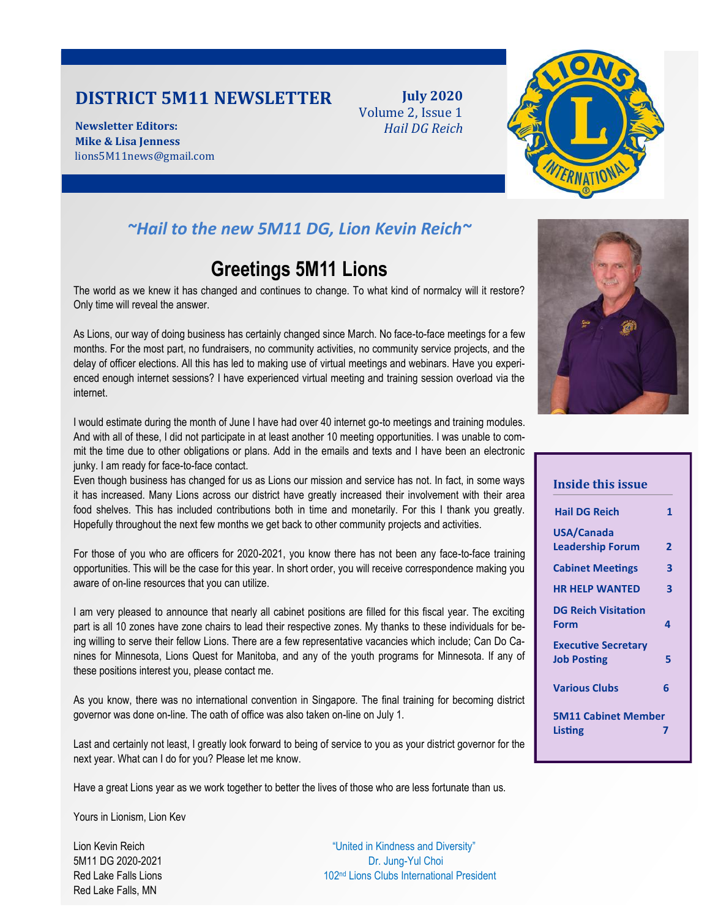## **DISTRICT 5M11 NEWSLETTER**

**Newsletter Editors: Mike & Lisa Jenness** lions5M11news@gmail.com

**July 2020** Volume 2, Issue 1 *Hail DG Reich*



## *~Hail to the new 5M11 DG, Lion Kevin Reich~*

## **Greetings 5M11 Lions**

The world as we knew it has changed and continues to change. To what kind of normalcy will it restore? Only time will reveal the answer.

As Lions, our way of doing business has certainly changed since March. No face-to-face meetings for a few months. For the most part, no fundraisers, no community activities, no community service projects, and the delay of officer elections. All this has led to making use of virtual meetings and webinars. Have you experienced enough internet sessions? I have experienced virtual meeting and training session overload via the internet.

I would estimate during the month of June I have had over 40 internet go-to meetings and training modules. And with all of these, I did not participate in at least another 10 meeting opportunities. I was unable to commit the time due to other obligations or plans. Add in the emails and texts and I have been an electronic junky. I am ready for face-to-face contact.

Even though business has changed for us as Lions our mission and service has not. In fact, in some ways it has increased. Many Lions across our district have greatly increased their involvement with their area food shelves. This has included contributions both in time and monetarily. For this I thank you greatly. Hopefully throughout the next few months we get back to other community projects and activities.

For those of you who are officers for 2020-2021, you know there has not been any face-to-face training opportunities. This will be the case for this year. In short order, you will receive correspondence making you aware of on-line resources that you can utilize.

I am very pleased to announce that nearly all cabinet positions are filled for this fiscal year. The exciting part is all 10 zones have zone chairs to lead their respective zones. My thanks to these individuals for being willing to serve their fellow Lions. There are a few representative vacancies which include; Can Do Canines for Minnesota, Lions Quest for Manitoba, and any of the youth programs for Minnesota. If any of these positions interest you, please contact me.

As you know, there was no international convention in Singapore. The final training for becoming district governor was done on-line. The oath of office was also taken on-line on July 1.

Last and certainly not least, I greatly look forward to being of service to you as your district governor for the next year. What can I do for you? Please let me know.

Have a great Lions year as we work together to better the lives of those who are less fortunate than us.

Yours in Lionism, Lion Kev

Red Lake Falls, MN

Lion Kevin Reich "United in Kindness and Diversity" 5M11 DG 2020-2021 Dr. Jung-Yul Choi Red Lake Falls Lions 102nd Lions 102nd Lions Clubs International President



| <b>Inside this issue</b>                         |   |
|--------------------------------------------------|---|
| <b>Hail DG Reich</b>                             | 1 |
| USA/Canada                                       |   |
| <b>Leadership Forum</b>                          | 2 |
| <b>Cabinet Meetings</b>                          | 3 |
| <b>HR HELP WANTED</b>                            | 3 |
| <b>DG Reich Visitation</b><br>Form               | Δ |
| <b>Executive Secretary</b><br><b>Job Posting</b> | 5 |
| <b>Various Clubs</b>                             | 6 |
| <b>5M11 Cabinet Member</b><br>Listing            |   |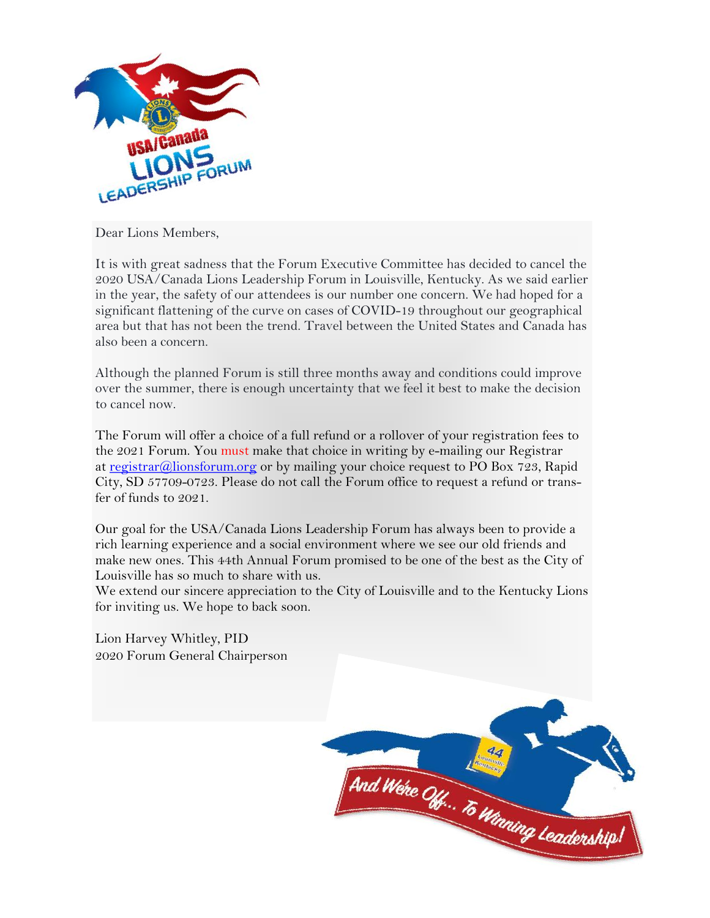

Dear Lions Members,

It is with great sadness that the Forum Executive Committee has decided to cancel the 2020 USA/Canada Lions Leadership Forum in Louisville, Kentucky. As we said earlier in the year, the safety of our attendees is our number one concern. We had hoped for a significant flattening of the curve on cases of COVID-19 throughout our geographical area but that has not been the trend. Travel between the United States and Canada has also been a concern.

Although the planned Forum is still three months away and conditions could improve over the summer, there is enough uncertainty that we feel it best to make the decision to cancel now.

The Forum will offer a choice of a full refund or a rollover of your registration fees to the 2021 Forum. You must make that choice in writing by e-mailing our Registrar at [registrar@lionsforum.org](mailto:registrar@lionsforum.org) or by mailing your choice request to PO Box 723, Rapid City, SD 57709-0723. Please do not call the Forum office to request a refund or transfer of funds to 2021.

Our goal for the USA/Canada Lions Leadership Forum has always been to provide a rich learning experience and a social environment where we see our old friends and make new ones. This 44th Annual Forum promised to be one of the best as the City of Louisville has so much to share with us.

We extend our sincere appreciation to the City of Louisville and to the Kentucky Lions for inviting us. We hope to back soon.

Lion Harvey Whitley, PID 2020 Forum General Chairperson

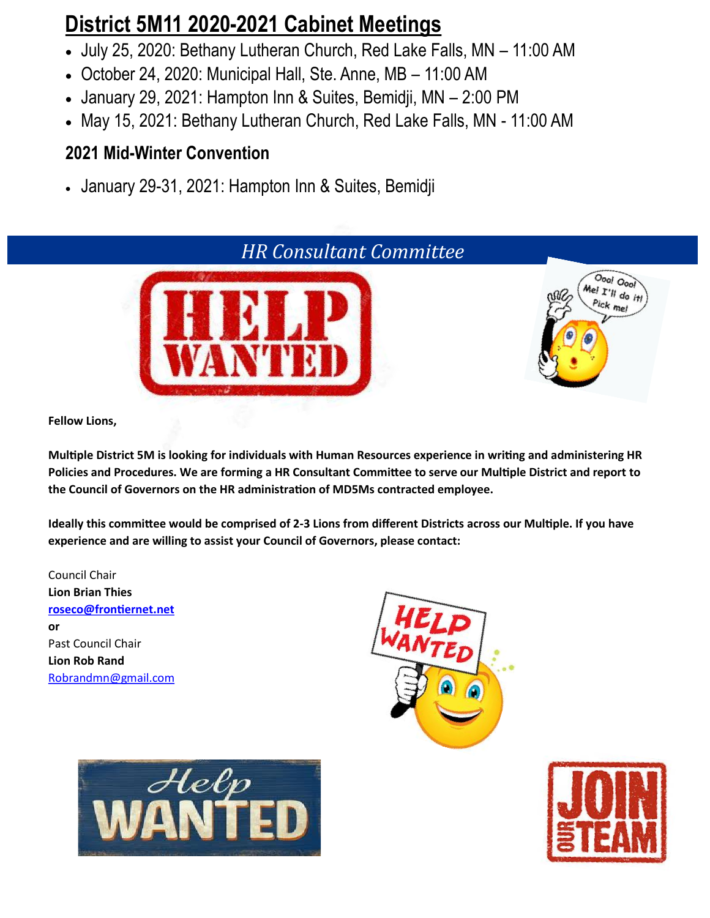# **District 5M11 2020-2021 Cabinet Meetings**

- July 25, 2020: Bethany Lutheran Church, Red Lake Falls, MN 11:00 AM
- October 24, 2020: Municipal Hall, Ste. Anne, MB 11:00 AM
- January 29, 2021: Hampton Inn & Suites, Bemidji, MN 2:00 PM
- May 15, 2021: Bethany Lutheran Church, Red Lake Falls, MN 11:00 AM

## **2021 Mid-Winter Convention**

• January 29-31, 2021: Hampton Inn & Suites, Bemidji



**Fellow Lions,**

**Multiple District 5M is looking for individuals with Human Resources experience in writing and administering HR Policies and Procedures. We are forming a HR Consultant Committee to serve our Multiple District and report to the Council of Governors on the HR administration of MD5Ms contracted employee.**

**Ideally this committee would be comprised of 2-3 Lions from different Districts across our Multiple. If you have experience and are willing to assist your Council of Governors, please contact:**

Council Chair **Lion Brian Thies [roseco@frontiernet.net](mailto:roseco@frontiernet.net) or** Past Council Chair **Lion Rob Rand** [Robrandmn@gmail.com](mailto:Robrandmn@gmail.com)





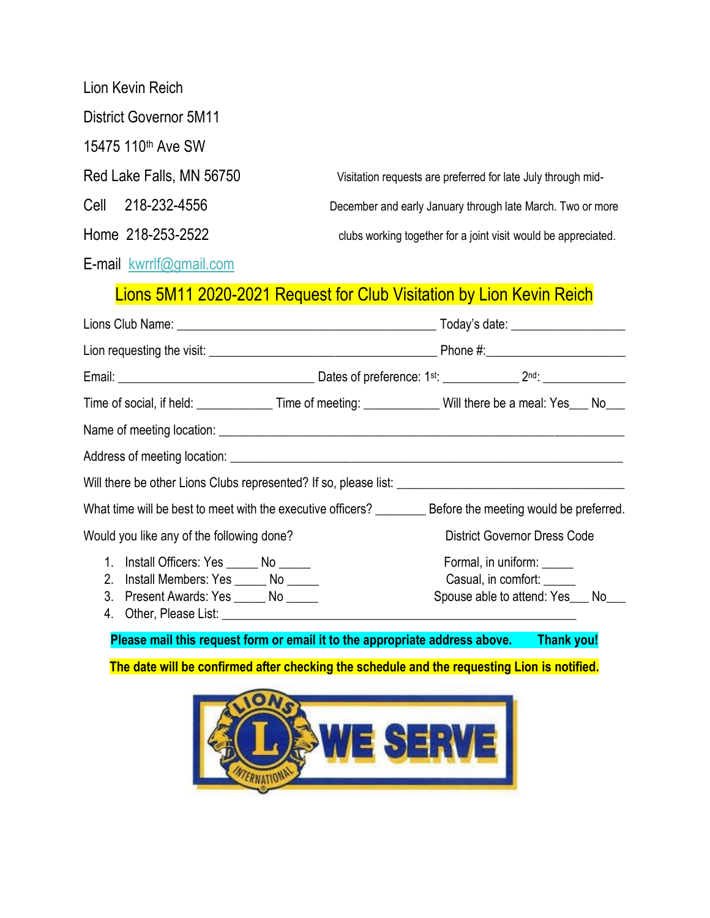| Lion Kevin Reich         |                                                                       |
|--------------------------|-----------------------------------------------------------------------|
| District Governor 5M11   |                                                                       |
| 15475 110th Ave SW       |                                                                       |
| Red Lake Falls, MN 56750 | Visitation requests are preferred for late July through mid-          |
| 218-232-4556<br>Cell     | December and early January through late March. Two or more            |
| Home 218-253-2522        | clubs working together for a joint visit would be appreciated.        |
| E-mail kwrrlf@gmail.com  |                                                                       |
|                          | Liene 51411 2020 2021 Pequest for Club Vicitation by Lien Keyin Pejah |

## Lions 5M11 2020-2021 Request for Club Visitation by Lion Kevin Reich

|                                            | Time of social, if held: __________________Time of meeting: _______________Will there be a meal: Yes____ No___ |  |
|--------------------------------------------|----------------------------------------------------------------------------------------------------------------|--|
|                                            |                                                                                                                |  |
|                                            |                                                                                                                |  |
|                                            |                                                                                                                |  |
|                                            |                                                                                                                |  |
| Would you like any of the following done?  | <b>District Governor Dress Code</b>                                                                            |  |
| 1. Install Officers: Yes _______ No ______ | Formal, in uniform:                                                                                            |  |
| 2. Install Members: Yes ______ No _____    | Casual, in comfort:                                                                                            |  |
| 3. Present Awards: Yes _______ No ______   | Spouse able to attend: Yes___ No___                                                                            |  |
|                                            |                                                                                                                |  |

**Please mail this request form or email it to the appropriate address above. Thank you!**

**The date will be confirmed after checking the schedule and the requesting Lion is notified.**

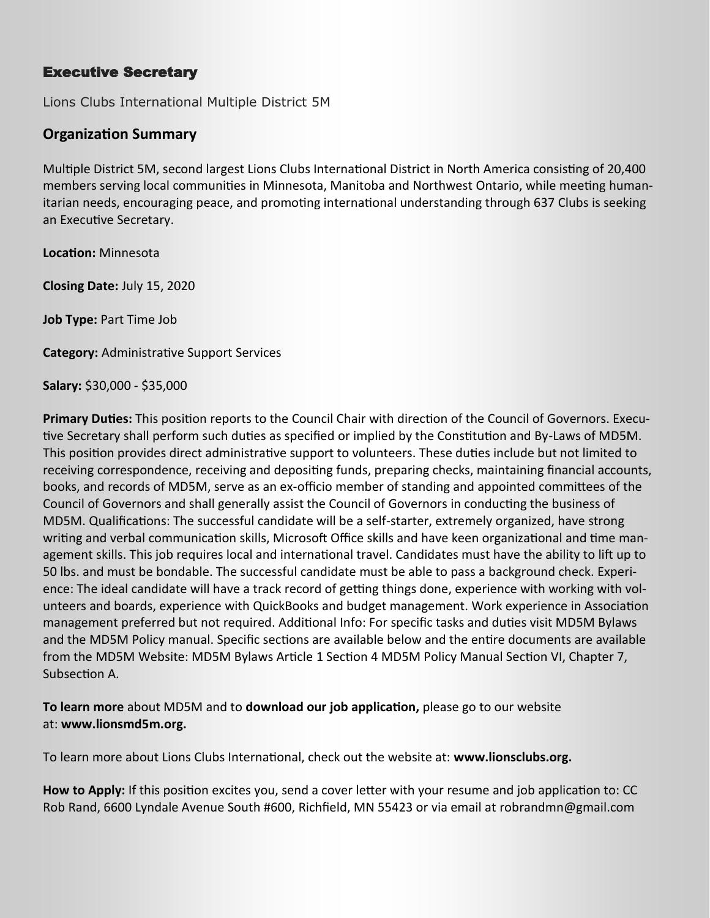### Executive Secretary

Lions Clubs International Multiple District 5M

### **Organization Summary**

Multiple District 5M, second largest Lions Clubs International District in North America consisting of 20,400 members serving local communities in Minnesota, Manitoba and Northwest Ontario, while meeting humanitarian needs, encouraging peace, and promoting international understanding through 637 Clubs is seeking an Executive Secretary.

**Location:** Minnesota

**Closing Date:** July 15, 2020

**Job Type:** Part Time Job

**Category:** Administrative Support Services

**Salary:** \$30,000 - \$35,000

**Primary Duties:** This position reports to the Council Chair with direction of the Council of Governors. Executive Secretary shall perform such duties as specified or implied by the Constitution and By-Laws of MD5M. This position provides direct administrative support to volunteers. These duties include but not limited to receiving correspondence, receiving and depositing funds, preparing checks, maintaining financial accounts, books, and records of MD5M, serve as an ex-officio member of standing and appointed committees of the Council of Governors and shall generally assist the Council of Governors in conducting the business of MD5M. Qualifications: The successful candidate will be a self-starter, extremely organized, have strong writing and verbal communication skills, Microsoft Office skills and have keen organizational and time management skills. This job requires local and international travel. Candidates must have the ability to lift up to 50 lbs. and must be bondable. The successful candidate must be able to pass a background check. Experience: The ideal candidate will have a track record of getting things done, experience with working with volunteers and boards, experience with QuickBooks and budget management. Work experience in Association management preferred but not required. Additional Info: For specific tasks and duties visit MD5M Bylaws and the MD5M Policy manual. Specific sections are available below and the entire documents are available from the MD5M Website: MD5M Bylaws Article 1 Section 4 MD5M Policy Manual Section VI, Chapter 7, Subsection A.

**To learn more** about MD5M and to **download our job application,** please go to our website at: **www.lionsmd5m.org.**

To learn more about Lions Clubs International, check out the website at: **www.lionsclubs.org.**

**How to Apply:** If this position excites you, send a cover letter with your resume and job application to: CC Rob Rand, 6600 Lyndale Avenue South #600, Richfield, MN 55423 or via email at robrandmn@gmail.com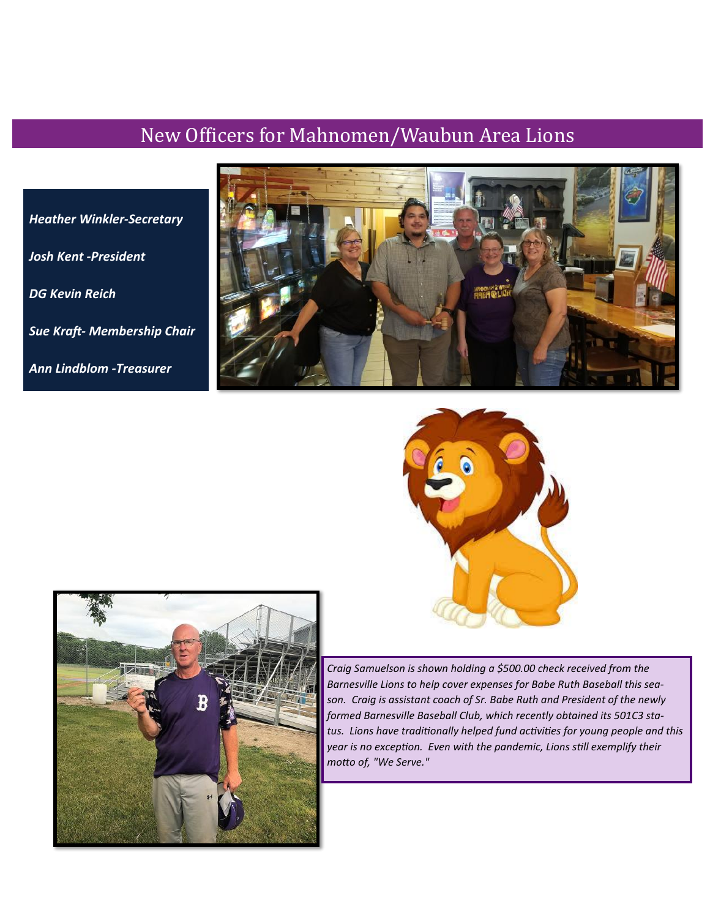## New Officers for Mahnomen/Waubun Area Lions

*Heather Winkler-Secretary Josh Kent -President DG Kevin Reich Sue Kraft- Membership Chair Ann Lindblom -Treasurer* 







*Craig Samuelson is shown holding a \$500.00 check received from the Barnesville Lions to help cover expenses for Babe Ruth Baseball this season. Craig is assistant coach of Sr. Babe Ruth and President of the newly formed Barnesville Baseball Club, which recently obtained its 501C3 status. Lions have traditionally helped fund activities for young people and this year is no exception. Even with the pandemic, Lions still exemplify their motto of, "We Serve."*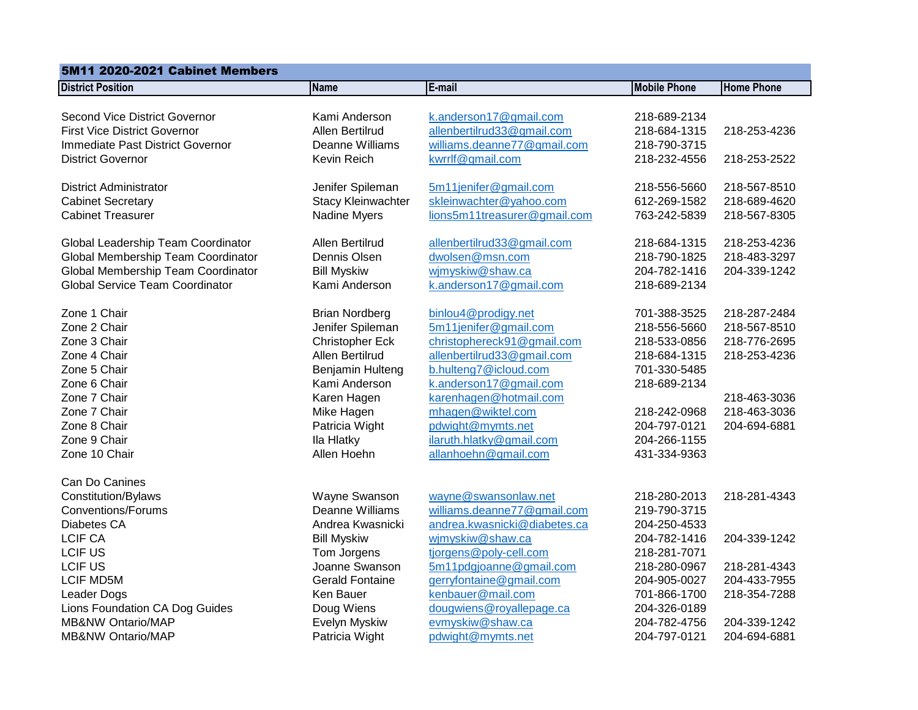| <b>5M11 2020-2021 Cabinet Members</b>                                                                                                             |                                                                                                                                            |                                                                                                                                                                                       |                                                                                              |                                                                              |
|---------------------------------------------------------------------------------------------------------------------------------------------------|--------------------------------------------------------------------------------------------------------------------------------------------|---------------------------------------------------------------------------------------------------------------------------------------------------------------------------------------|----------------------------------------------------------------------------------------------|------------------------------------------------------------------------------|
| <b>District Position</b>                                                                                                                          | <b>Name</b>                                                                                                                                | E-mail                                                                                                                                                                                | <b>Mobile Phone</b>                                                                          | <b>Home Phone</b>                                                            |
| Second Vice District Governor<br><b>First Vice District Governor</b><br>Immediate Past District Governor                                          | Kami Anderson<br>Allen Bertilrud<br>Deanne Williams                                                                                        | k.anderson17@gmail.com<br>allenbertilrud33@gmail.com<br>williams.deanne77@gmail.com                                                                                                   | 218-689-2134<br>218-684-1315<br>218-790-3715                                                 | 218-253-4236                                                                 |
| <b>District Governor</b>                                                                                                                          | Kevin Reich                                                                                                                                | kwrrlf@gmail.com                                                                                                                                                                      | 218-232-4556                                                                                 | 218-253-2522                                                                 |
| District Administrator<br><b>Cabinet Secretary</b><br><b>Cabinet Treasurer</b>                                                                    | Jenifer Spileman<br><b>Stacy Kleinwachter</b><br>Nadine Myers                                                                              | 5m11jenifer@gmail.com<br>skleinwachter@yahoo.com<br>lions5m11treasurer@gmail.com                                                                                                      | 218-556-5660<br>612-269-1582<br>763-242-5839                                                 | 218-567-8510<br>218-689-4620<br>218-567-8305                                 |
| Global Leadership Team Coordinator<br>Global Membership Team Coordinator<br>Global Membership Team Coordinator<br>Global Service Team Coordinator | Allen Bertilrud<br>Dennis Olsen<br><b>Bill Myskiw</b><br>Kami Anderson                                                                     | allenbertilrud33@gmail.com<br>dwolsen@msn.com<br>wjmyskiw@shaw.ca<br>k.anderson17@gmail.com                                                                                           | 218-684-1315<br>218-790-1825<br>204-782-1416<br>218-689-2134                                 | 218-253-4236<br>218-483-3297<br>204-339-1242                                 |
| Zone 1 Chair<br>Zone 2 Chair<br>Zone 3 Chair<br>Zone 4 Chair<br>Zone 5 Chair<br>Zone 6 Chair<br>Zone 7 Chair                                      | <b>Brian Nordberg</b><br>Jenifer Spileman<br><b>Christopher Eck</b><br>Allen Bertilrud<br>Benjamin Hulteng<br>Kami Anderson<br>Karen Hagen | binlou4@prodigy.net<br>5m11jenifer@gmail.com<br>christophereck91@gmail.com<br>allenbertilrud33@gmail.com<br>b.hulteng7@icloud.com<br>k.anderson17@gmail.com<br>karenhagen@hotmail.com | 701-388-3525<br>218-556-5660<br>218-533-0856<br>218-684-1315<br>701-330-5485<br>218-689-2134 | 218-287-2484<br>218-567-8510<br>218-776-2695<br>218-253-4236<br>218-463-3036 |
| Zone 7 Chair<br>Zone 8 Chair<br>Zone 9 Chair<br>Zone 10 Chair                                                                                     | Mike Hagen<br>Patricia Wight<br>Ila Hlatky<br>Allen Hoehn                                                                                  | mhagen@wiktel.com<br>pdwight@mymts.net<br>ilaruth.hlatky@gmail.com<br>allanhoehn@gmail.com                                                                                            | 218-242-0968<br>204-797-0121<br>204-266-1155<br>431-334-9363                                 | 218-463-3036<br>204-694-6881                                                 |
| Can Do Canines<br>Constitution/Bylaws<br><b>Conventions/Forums</b><br>Diabetes CA                                                                 | Wayne Swanson<br>Deanne Williams<br>Andrea Kwasnicki                                                                                       | wayne@swansonlaw.net<br>williams.deanne77@gmail.com<br>andrea.kwasnicki@diabetes.ca                                                                                                   | 218-280-2013<br>219-790-3715<br>204-250-4533                                                 | 218-281-4343                                                                 |
| <b>LCIF CA</b><br><b>LCIF US</b><br><b>LCIF US</b><br><b>LCIF MD5M</b>                                                                            | <b>Bill Myskiw</b><br>Tom Jorgens<br>Joanne Swanson<br><b>Gerald Fontaine</b><br>Ken Bauer                                                 | wjmyskiw@shaw.ca<br>tjorgens@poly-cell.com<br>5m11pdgjoanne@gmail.com<br>gerryfontaine@gmail.com<br>kenbauer@mail.com                                                                 | 204-782-1416<br>218-281-7071<br>218-280-0967<br>204-905-0027                                 | 204-339-1242<br>218-281-4343<br>204-433-7955                                 |
| Leader Dogs<br>Lions Foundation CA Dog Guides<br><b>MB&amp;NW Ontario/MAP</b><br><b>MB&amp;NW Ontario/MAP</b>                                     | Doug Wiens<br>Evelyn Myskiw<br>Patricia Wight                                                                                              | dougwiens@royallepage.ca<br>evmyskiw@shaw.ca<br>pdwight@mymts.net                                                                                                                     | 701-866-1700<br>204-326-0189<br>204-782-4756<br>204-797-0121                                 | 218-354-7288<br>204-339-1242<br>204-694-6881                                 |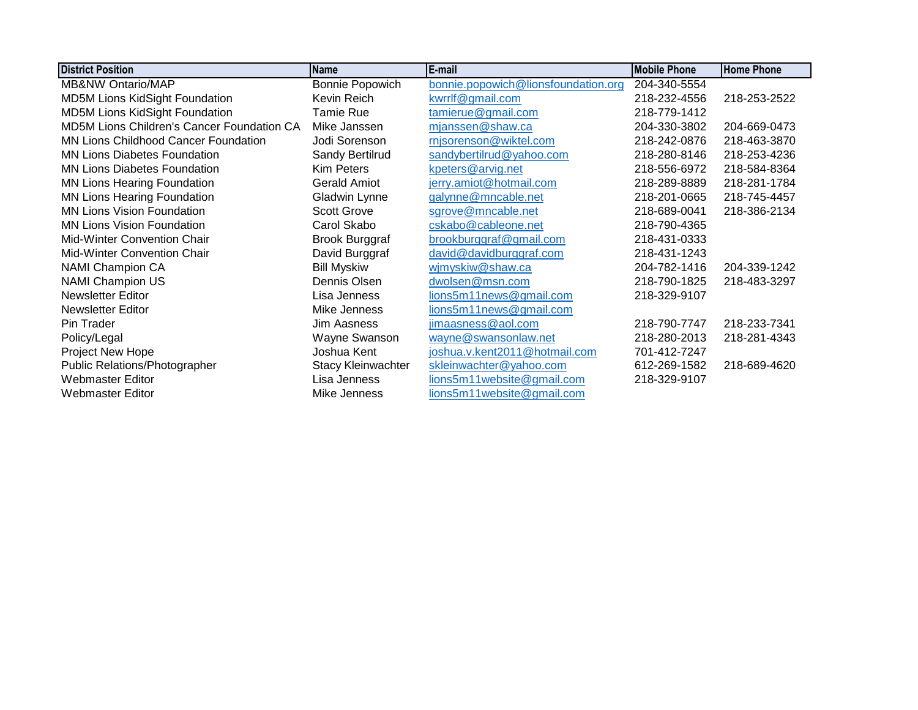| <b>District Position</b>                          | <b>Name</b>               | E-mail                              | <b>Mobile Phone</b> | <b>Home Phone</b> |
|---------------------------------------------------|---------------------------|-------------------------------------|---------------------|-------------------|
| <b>MB&amp;NW Ontario/MAP</b>                      | Bonnie Popowich           | bonnie.popowich@lionsfoundation.org | 204-340-5554        |                   |
| MD5M Lions KidSight Foundation                    | Kevin Reich               | kwrrlf@gmail.com                    | 218-232-4556        | 218-253-2522      |
| MD5M Lions KidSight Foundation                    | <b>Tamie Rue</b>          | tamierue@gmail.com                  | 218-779-1412        |                   |
| <b>MD5M Lions Children's Cancer Foundation CA</b> | Mike Janssen              | mjanssen@shaw.ca                    | 204-330-3802        | 204-669-0473      |
| <b>MN Lions Childhood Cancer Foundation</b>       | Jodi Sorenson             | rnjsorenson@wiktel.com              | 218-242-0876        | 218-463-3870      |
| <b>MN Lions Diabetes Foundation</b>               | Sandy Bertilrud           | sandybertilrud@yahoo.com            | 218-280-8146        | 218-253-4236      |
| <b>MN Lions Diabetes Foundation</b>               | <b>Kim Peters</b>         | kpeters@arvig.net                   | 218-556-6972        | 218-584-8364      |
| <b>MN Lions Hearing Foundation</b>                | <b>Gerald Amiot</b>       | jerry.amiot@hotmail.com             | 218-289-8889        | 218-281-1784      |
| <b>MN Lions Hearing Foundation</b>                | Gladwin Lynne             | galynne@mncable.net                 | 218-201-0665        | 218-745-4457      |
| <b>MN Lions Vision Foundation</b>                 | <b>Scott Grove</b>        | sgrove@mncable.net                  | 218-689-0041        | 218-386-2134      |
| <b>MN Lions Vision Foundation</b>                 | Carol Skabo               | cskabo@cableone.net                 | 218-790-4365        |                   |
| Mid-Winter Convention Chair                       | <b>Brook Burggraf</b>     | brookburggraf@gmail.com             | 218-431-0333        |                   |
| Mid-Winter Convention Chair                       | David Burggraf            | david@davidburggraf.com             | 218-431-1243        |                   |
| <b>NAMI Champion CA</b>                           | <b>Bill Myskiw</b>        | wjmyskiw@shaw.ca                    | 204-782-1416        | 204-339-1242      |
| <b>NAMI Champion US</b>                           | Dennis Olsen              | dwolsen@msn.com                     | 218-790-1825        | 218-483-3297      |
| <b>Newsletter Editor</b>                          | Lisa Jenness              | lions5m11news@gmail.com             | 218-329-9107        |                   |
| Newsletter Editor                                 | Mike Jenness              | lions5m11news@gmail.com             |                     |                   |
| Pin Trader                                        | Jim Aasness               | jimaasness@aol.com                  | 218-790-7747        | 218-233-7341      |
| Policy/Legal                                      | Wayne Swanson             | wayne@swansonlaw.net                | 218-280-2013        | 218-281-4343      |
| Project New Hope                                  | Joshua Kent               | joshua.v.kent2011@hotmail.com       | 701-412-7247        |                   |
| Public Relations/Photographer                     | <b>Stacy Kleinwachter</b> | skleinwachter@yahoo.com             | 612-269-1582        | 218-689-4620      |
| <b>Webmaster Editor</b>                           | Lisa Jenness              | lions5m11website@gmail.com          | 218-329-9107        |                   |
| Webmaster Editor                                  | Mike Jenness              | lions5m11website@gmail.com          |                     |                   |